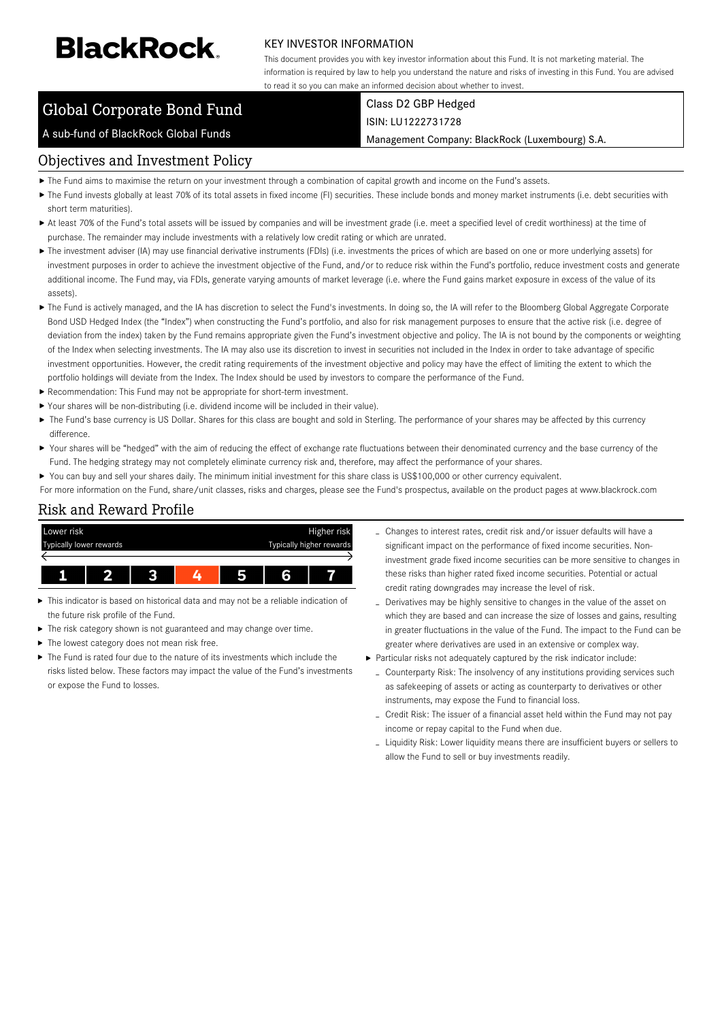# **BlackRock**

#### KEY INVESTOR INFORMATION

This document provides you with key investor information about this Fund. It is not marketing material. The information is required by law to help you understand the nature and risks of investing in this Fund. You are advised to read it so you can make an informed decision about whether to invest.

### Global Corporate Bond Fund

# A sub-fund of BlackRock Global Funds

#### Class D2 GBP Hedged ISIN: LU1222731728

Management Company: BlackRock (Luxembourg) S.A.

#### Objectives and Investment Policy

- The Fund aims to maximise the return on your investment through a combination of capital growth and income on the Fund's assets.
- ▶ The Fund invests globally at least 70% of its total assets in fixed income (FI) securities. These include bonds and money market instruments (i.e. debt securities with short term maturities).
- At least 70% of the Fund's total assets will be issued by companies and will be investment grade (i.e. meet a specified level of credit worthiness) at the time of purchase. The remainder may include investments with a relatively low credit rating or which are unrated.
- ▶ The investment adviser (IA) may use financial derivative instruments (FDIs) (i.e. investments the prices of which are based on one or more underlying assets) for investment purposes in order to achieve the investment objective of the Fund, and/or to reduce risk within the Fund's portfolio, reduce investment costs and generate additional income. The Fund may, via FDIs, generate varying amounts of market leverage (i.e. where the Fund gains market exposure in excess of the value of its assets).
- The Fund is actively managed, and the IA has discretion to select the Fund's investments. In doing so, the IA will refer to the Bloomberg Global Aggregate Corporate Bond USD Hedged Index (the "Index") when constructing the Fund's portfolio, and also for risk management purposes to ensure that the active risk (i.e. degree of deviation from the index) taken by the Fund remains appropriate given the Fund's investment objective and policy. The IA is not bound by the components or weighting of the Index when selecting investments. The IA may also use its discretion to invest in securities not included in the Index in order to take advantage of specific investment opportunities. However, the credit rating requirements of the investment objective and policy may have the effect of limiting the extent to which the portfolio holdings will deviate from the Index. The Index should be used by investors to compare the performance of the Fund.
- Recommendation: This Fund may not be appropriate for short-term investment.
- Your shares will be non-distributing (i.e. dividend income will be included in their value).
- ▶ The Fund's base currency is US Dollar. Shares for this class are bought and sold in Sterling. The performance of your shares may be affected by this currency difference.
- Your shares will be "hedged" with the aim of reducing the effect of exchange rate fluctuations between their denominated currency and the base currency of the Fund. The hedging strategy may not completely eliminate currency risk and, therefore, may affect the performance of your shares.
- ▶ You can buy and sell your shares daily. The minimum initial investment for this share class is US\$100,000 or other currency equivalent.
- For more information on the Fund, share/unit classes, risks and charges, please see the Fund's prospectus, available on the product pages at www.blackrock.com

#### Risk and Reward Profile



- This indicator is based on historical data and may not be a reliable indication of the future risk profile of the Fund.
- ▶ The risk category shown is not guaranteed and may change over time.
- The lowest category does not mean risk free.
- The Fund is rated four due to the nature of its investments which include the risks listed below. These factors may impact the value of the Fund's investments or expose the Fund to losses.
- Changes to interest rates, credit risk and/or issuer defaults will have a significant impact on the performance of fixed income securities. Noninvestment grade fixed income securities can be more sensitive to changes in these risks than higher rated fixed income securities. Potential or actual credit rating downgrades may increase the level of risk.
- Derivatives may be highly sensitive to changes in the value of the asset on which they are based and can increase the size of losses and gains, resulting in greater fluctuations in the value of the Fund. The impact to the Fund can be greater where derivatives are used in an extensive or complex way.
- Particular risks not adequately captured by the risk indicator include:
	- Counterparty Risk: The insolvency of any institutions providing services such as safekeeping of assets or acting as counterparty to derivatives or other instruments, may expose the Fund to financial loss.
	- Credit Risk: The issuer of a financial asset held within the Fund may not pay income or repay capital to the Fund when due.
	- Liquidity Risk: Lower liquidity means there are insufficient buyers or sellers to allow the Fund to sell or buy investments readily.